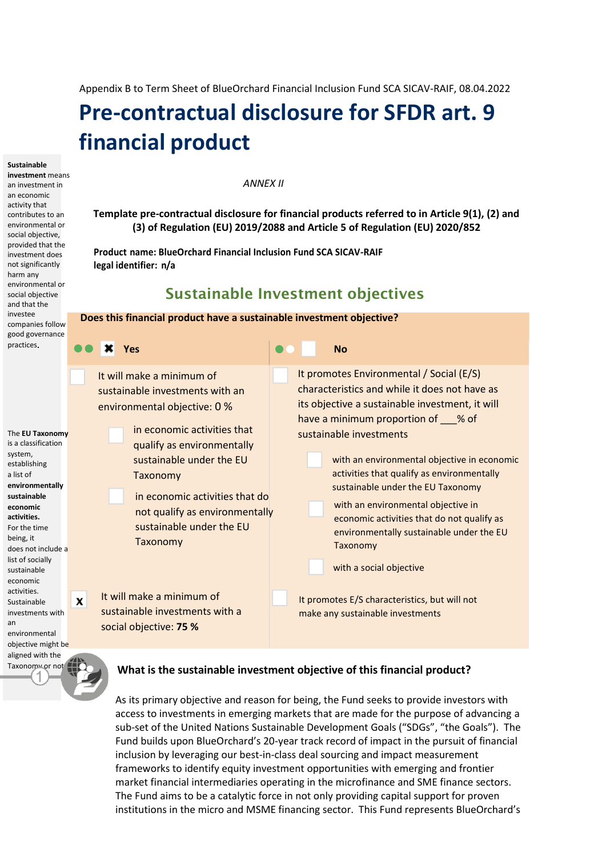Appendix B to Term Sheet of BlueOrchard Financial Inclusion Fund SCA SICAV-RAIF, 08.04.2022

# **Pre-contractual disclosure for SFDR art. 9 financial product**

**Sustainable** 

**investment** means an investment in an economic activity that contributes to an environmental or social objective, provided that the investment does not significantly harm any environmental or social objective and that the investee companies follow good governance practices

The **EU Taxonomy** is a classification system, establishing a list of **environmentally sustainable economic activities.** For the time being, it does not include a list of socially sustainable economic activities. Sustainable investments with an

environmental objective might be aligned with the Taxonomy or not.

*ANNEX II*

**Template pre-contractual disclosure for financial products referred to in Article 9(1), (2) and (3) of Regulation (EU) 2019/2088 and Article 5 of Regulation (EU) 2020/852**

**Product name: BlueOrchard Financial Inclusion Fund SCA SICAV-RAIF legal identifier: n/a**

## Sustainable Investment objectives

### **Does this financial product have a sustainable investment objective? Yes No** It promotes Environmental / Social (E/S) It will make a minimum of characteristics and while it does not have as sustainable investments with an its objective a sustainable investment, it will environmental objective: 0 % have a minimum proportion of % of in economic activities that sustainable investments qualify as environmentally sustainable under the EU with an environmental objective in economic activities that qualify as environmentally Taxonomy sustainable under the EU Taxonomy in economic activities that do with an environmental objective in not qualify as environmentally economic activities that do not qualify as sustainable under the EU environmentally sustainable under the EU Taxonomy Taxonomy with a social objective It will make a minimum of  $\mathbf x$ It promotes E/S characteristics, but will not sustainable investments with a make any sustainable investments social objective: **75 %**

### **What is the sustainable investment objective of this financial product?**

As its primary objective and reason for being, the Fund seeks to provide investors with access to investments in emerging markets that are made for the purpose of advancing a sub-set of th[e United Nations Sustainable Development Goals](https://sdgs.un.org/goals) ("SDGs", "the Goals"). The Fund builds upon BlueOrchard's 20-year track record of impact in the pursuit of financial inclusion by leveraging our best-in-class deal sourcing and impact measurement frameworks to identify equity investment opportunities with emerging and frontier market financial intermediaries operating in the microfinance and SME finance sectors. The Fund aims to be a catalytic force in not only providing capital support for proven institutions in the micro and MSME financing sector. This Fund represents BlueOrchard's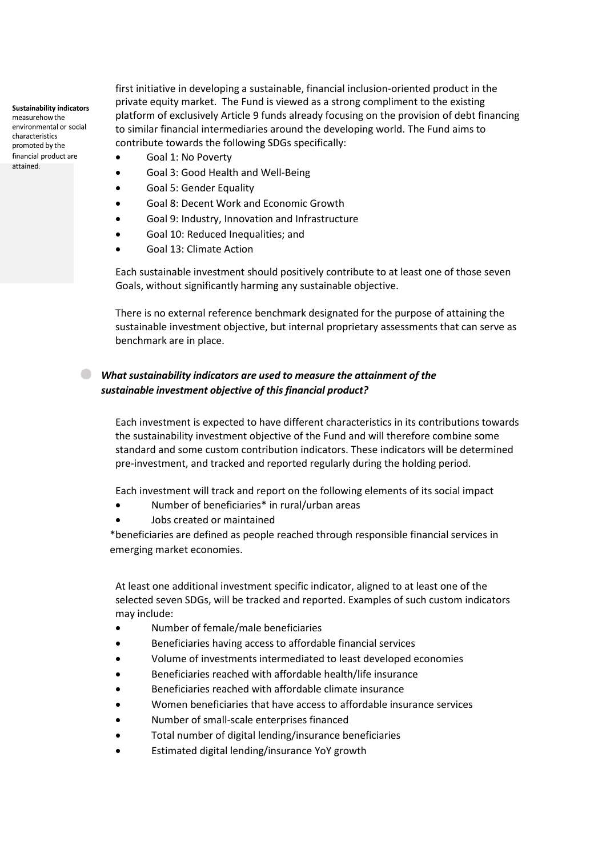**Sustainability indicators** measurehow the environmental or social characteristics promoted by the financial product are attained.

first initiative in developing a sustainable, financial inclusion-oriented product in the private equity market. The Fund is viewed as a strong compliment to the existing platform of exclusively Article 9 funds already focusing on the provision of debt financing to similar financial intermediaries around the developing world. The Fund aims to contribute towards the following SDGs specifically:

- Goal 1: No Poverty
- Goal 3: Good Health and Well-Being
- Goal 5: Gender Equality
- Goal 8: Decent Work and Economic Growth
- Goal 9: Industry, Innovation and Infrastructure
- Goal 10: Reduced Inequalities; and
- Goal 13: Climate Action

Each sustainable investment should positively contribute to at least one of those seven Goals, without significantly harming any sustainable objective.

There is no external reference benchmark designated for the purpose of attaining the sustainable investment objective, but internal proprietary assessments that can serve as benchmark are in place.

### *What sustainability indicators are used to measure the attainment of the sustainable investment objective of this financial product?*

Each investment is expected to have different characteristics in its contributions towards the sustainability investment objective of the Fund and will therefore combine some standard and some custom contribution indicators. These indicators will be determined pre-investment, and tracked and reported regularly during the holding period.

Each investment will track and report on the following elements of its social impact

- Number of beneficiaries\* in rural/urban areas
- Jobs created or maintained

\*beneficiaries are defined as people reached through responsible financial services in emerging market economies.

At least one additional investment specific indicator, aligned to at least one of the selected seven SDGs, will be tracked and reported. Examples of such custom indicators may include:

- Number of female/male beneficiaries
- Beneficiaries having access to affordable financial services
- Volume of investments intermediated to least developed economies
- Beneficiaries reached with affordable health/life insurance
- Beneficiaries reached with affordable climate insurance
- Women beneficiaries that have access to affordable insurance services
- Number of small-scale enterprises financed
- Total number of digital lending/insurance beneficiaries
- Estimated digital lending/insurance YoY growth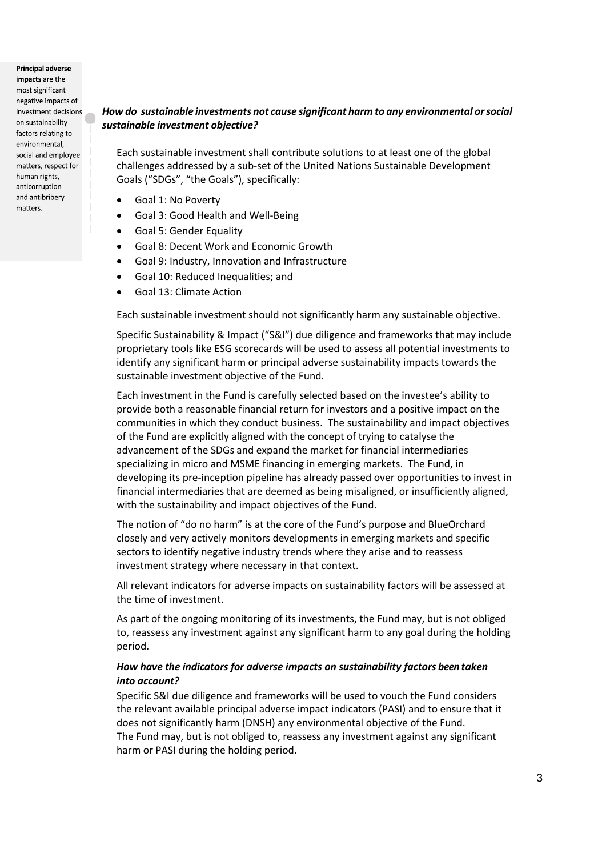**Principal adverse** impacts are the most significant negative impacts of investment decisions on sustainability factors relating to environmental, social and employee matters, respect for human rights. anticorruption and antibribery matters.

### *How do sustainable investments not cause significant harm to any environmental or social sustainable investment objective?*

Each sustainable investment shall contribute solutions to at least one of the global challenges addressed by a sub-set of th[e United Nations Sustainable Development](https://sdgs.un.org/goals)  [Goals](https://sdgs.un.org/goals) ("SDGs", "the Goals"), specifically:

- Goal 1: No Poverty
- Goal 3: Good Health and Well-Being
- Goal 5: Gender Equality
- Goal 8: Decent Work and Economic Growth
- Goal 9: Industry, Innovation and Infrastructure
- Goal 10: Reduced Inequalities; and
- Goal 13: Climate Action

Each sustainable investment should not significantly harm any sustainable objective.

Specific Sustainability & Impact ("S&I") due diligence and frameworks that may include proprietary tools like ESG scorecards will be used to assess all potential investments to identify any significant harm or principal adverse sustainability impacts towards the sustainable investment objective of the Fund.

Each investment in the Fund is carefully selected based on the investee's ability to provide both a reasonable financial return for investors and a positive impact on the communities in which they conduct business. The sustainability and impact objectives of the Fund are explicitly aligned with the concept of trying to catalyse the advancement of the SDGs and expand the market for financial intermediaries specializing in micro and MSME financing in emerging markets. The Fund, in developing its pre-inception pipeline has already passed over opportunities to invest in financial intermediaries that are deemed as being misaligned, or insufficiently aligned, with the sustainability and impact objectives of the Fund.

The notion of "do no harm" is at the core of the Fund's purpose and BlueOrchard closely and very actively monitors developments in emerging markets and specific sectors to identify negative industry trends where they arise and to reassess investment strategy where necessary in that context.

All relevant indicators for adverse impacts on sustainability factors will be assessed at the time of investment.

As part of the ongoing monitoring of its investments, the Fund may, but is not obliged to, reassess any investment against any significant harm to any goal during the holding period.

### *How have the indicators for adverse impacts on sustainability factors been taken into account?*

Specific S&I due diligence and frameworks will be used to vouch the Fund considers the relevant available principal adverse impact indicators (PASI) and to ensure that it does not significantly harm (DNSH) any environmental objective of the Fund. The Fund may, but is not obliged to, reassess any investment against any significant harm or PASI during the holding period.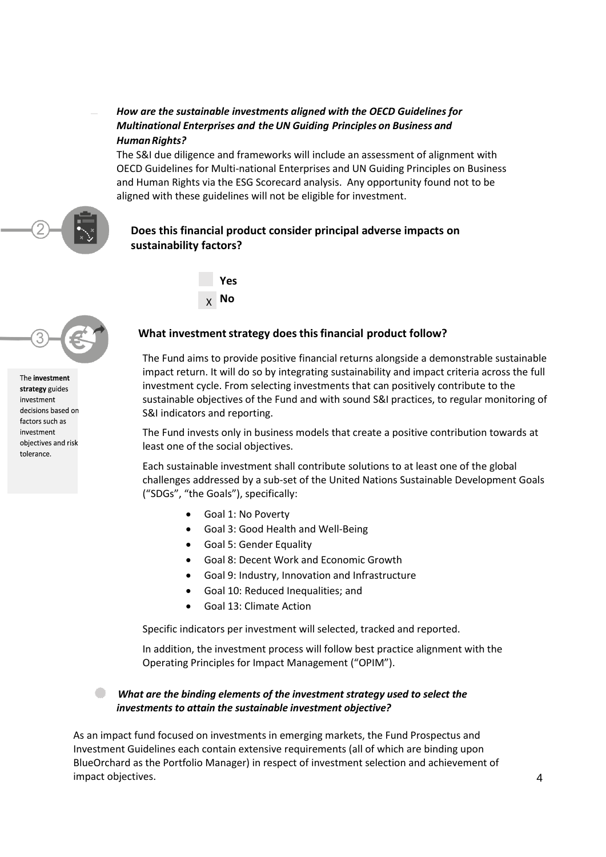### *How are the sustainable investments aligned with the OECD Guidelines for Multinational Enterprises and theUN Guiding Principles on Business and* **Human Rights?**

The S&I due diligence and frameworks will include an assessment of alignment with OECD Guidelines for Multi-national Enterprises and UN Guiding Principles on Business and Human Rights via the ESG Scorecard analysis. Any opportunity found not to be aligned with these guidelines will not be eligible for investment.

The investment strategy guides investment decisions based on factors such as investment objectives and risk tolerance.

### **Does this financial product consider principal adverse impacts on sustainability factors?**



# **What investment strategy does this financial product follow?**

The Fund aims to provide positive financial returns alongside a demonstrable sustainable impact return. It will do so by integrating sustainability and impact criteria across the full investment cycle. From selecting investments that can positively contribute to the sustainable objectives of the Fund and with sound S&I practices, to regular monitoring of S&I indicators and reporting.

The Fund invests only in business models that create a positive contribution towards at least one of the social objectives.

Each sustainable investment shall contribute solutions to at least one of the global challenges addressed by a sub-set of the [United Nations Sustainable Development Goals](https://sdgs.un.org/goals) ("SDGs", "the Goals"), specifically:

• Goal 1: No Poverty

**Yes No**

X

- Goal 3: Good Health and Well-Being
- Goal 5: Gender Equality
- Goal 8: Decent Work and Economic Growth
- Goal 9: Industry, Innovation and Infrastructure
- Goal 10: Reduced Inequalities; and
- Goal 13: Climate Action

Specific indicators per investment will selected, tracked and reported.

In addition, the investment process will follow best practice alignment with the Operating Principles for Impact Management ("OPIM").

### What are the binding elements of the investment strategy used to select the *investments to attain the sustainable investment objective?*

As an impact fund focused on investments in emerging markets, the Fund Prospectus and Investment Guidelines each contain extensive requirements (all of which are binding upon BlueOrchard as the Portfolio Manager) in respect of investment selection and achievement of impact objectives.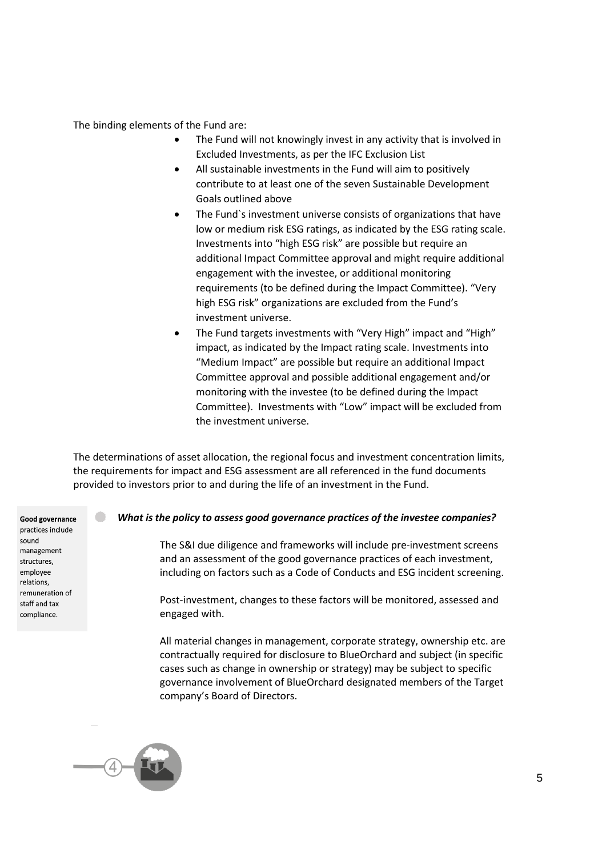The binding elements of the Fund are:

- The Fund will not knowingly invest in any activity that is involved in Excluded Investments, as per the IFC Exclusion List
- All sustainable investments in the Fund will aim to positively contribute to at least one of the seven Sustainable Development Goals outlined above
- The Fund`s investment universe consists of organizations that have low or medium risk ESG ratings, as indicated by the ESG rating scale. Investments into "high ESG risk" are possible but require an additional Impact Committee approval and might require additional engagement with the investee, or additional monitoring requirements (to be defined during the Impact Committee). "Very high ESG risk" organizations are excluded from the Fund's investment universe.
- The Fund targets investments with "Very High" impact and "High" impact, as indicated by the Impact rating scale. Investments into "Medium Impact" are possible but require an additional Impact Committee approval and possible additional engagement and/or monitoring with the investee (to be defined during the Impact Committee). Investments with "Low" impact will be excluded from the investment universe.

The determinations of asset allocation, the regional focus and investment concentration limits, the requirements for impact and ESG assessment are all referenced in the fund documents provided to investors prior to and during the life of an investment in the Fund.

Good governance practices include sound management structures, employee relations, remuneration of

staff and tax compliance.

### *What is the policy to assess good governance practices of the investee companies?*

The S&I due diligence and frameworks will include pre-investment screens and an assessment of the good governance practices of each investment, including on factors such as a Code of Conducts and ESG incident screening.

Post-investment, changes to these factors will be monitored, assessed and engaged with.

All material changes in management, corporate strategy, ownership etc. are contractually required for disclosure to BlueOrchard and subject (in specific cases such as change in ownership or strategy) may be subject to specific governance involvement of BlueOrchard designated members of the Target company's Board of Directors.